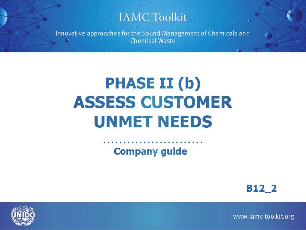### **IAMC Toolkit**

Innovative approaches for the Sound Management of Chemicals and **Chemical Waste** 

# **PHASE II (b) ASSESS CUSTOMER UNMET NEEDS**

**Company guide** 

B<sub>12</sub> 2



www.iamc-toolkit.org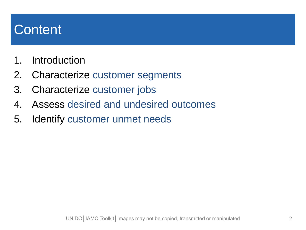# **Content**

- 1. Introduction
- 2. Characterize customer segments
- 3. Characterize customer jobs
- 4. Assess desired and undesired outcomes
- 5. Identify customer unmet needs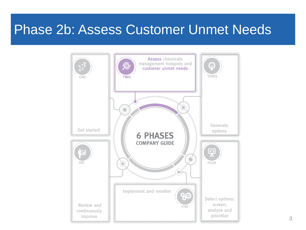## Phase 2b: Assess Customer Unmet Needs

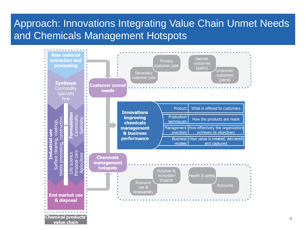### Approach: Innovations Integrating Value Chain Unmet Needs and Chemicals Management Hotspots

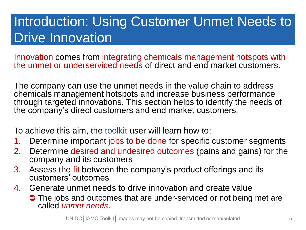# Introduction: Using Customer Unmet Needs to Drive Innovation

Innovation comes from integrating chemicals management hotspots with the unmet or underserviced needs of direct and end market customers.

The company can use the unmet needs in the value chain to address chemicals management hotspots and increase business performance through targeted innovations. This section helps to identify the needs of the company's direct customers and end market customers.

To achieve this aim, the toolkit user will learn how to:

- 1. Determine important jobs to be done for specific customer segments
- 2. Determine desired and undesired outcomes (pains and gains) for the company and its customers
- 3. Assess the fit between the company's product offerings and its customers' outcomes
- 4. Generate unmet needs to drive innovation and create value
	- The jobs and outcomes that are under-serviced or not being met are called *unmet needs*.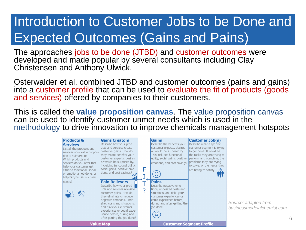# Introduction to Customer Jobs to be Done and Expected Outcomes (Gains and Pains)

The approaches jobs to be done (JTBD) and customer outcomes were developed and made popular by several consultants including Clay Christensen and Anthony Ulwick.

Osterwalder et al. combined JTBD and customer outcomes (pains and gains) into a customer profile that can be used to evaluate the fit of products (goods and services) offered by companies to their customers.

This is called the **value proposition canvas**. The value proposition canvas can be used to identify customer unmet needs which is used in the methodology to drive innovation to improve chemicals management hotspots

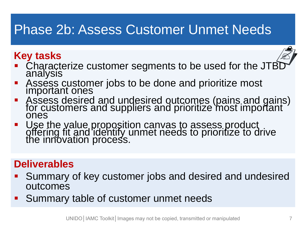# Phase 2b: Assess Customer Unmet Needs

### **Key tasks**



- Characterize customer segments to be used for the JTB analysis
- Assess customer jobs to be done and prioritize most important ones
- Assess desired and undesired outcomes (pains and gains) for customers and suppliers and prioritize most important ones
- Use the value proposition canvas to assess product<br>offering fit and identify unmet needs to prioritize to drive the innovation process.

### **Deliverables**

- Summary of key customer jobs and desired and undesired outcomes
- **Summary table of customer unmet needs**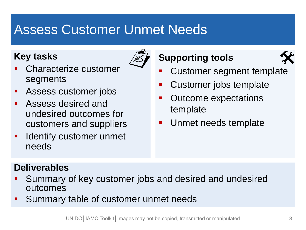# Assess Customer Unmet Needs

#### **Key tasks**



- Characterize customer segments
- **Assess customer jobs**
- **Assess desired and** undesired outcomes for customers and suppliers
- **If Identify customer unmet** needs

### **Supporting tools**  $\overline{\mathscr{Z}}$  Supporting tools



- **Customer segment template**
- Customer jobs template
- Outcome expectations template
- **Unmet needs template**

### **Deliverables**

- Summary of key customer jobs and desired and undesired outcomes
- Summary table of customer unmet needs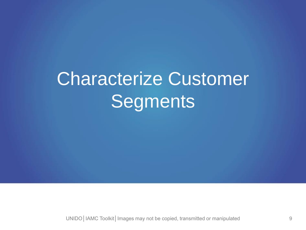# Characterize Customer **Segments**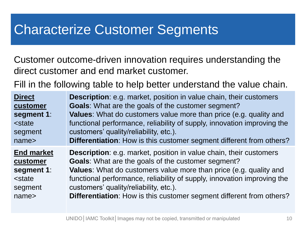# Characterize Customer Segments

Customer outcome-driven innovation requires understanding the direct customer and end market customer.

Fill in the following table to help better understand the value chain.

| <b>Direct</b>                                                                                           | <b>Description:</b> e.g. market, position in value chain, their customers   |
|---------------------------------------------------------------------------------------------------------|-----------------------------------------------------------------------------|
| customer                                                                                                | Goals: What are the goals of the customer segment?                          |
| segment 1:                                                                                              | <b>Values:</b> What do customers value more than price (e.g. quality and    |
| <state< td=""><td>functional performance, reliability of supply, innovation improving the</td></state<> | functional performance, reliability of supply, innovation improving the     |
| segment                                                                                                 | customers' quality/reliability, etc.).                                      |
| name <sub>&gt;</sub>                                                                                    | <b>Differentiation:</b> How is this customer segment different from others? |
| <b>End market</b>                                                                                       | Description: e.g. market, position in value chain, their customers          |
| customer                                                                                                | <b>Goals:</b> What are the goals of the customer segment?                   |
| segment 1:                                                                                              | Values: What do customers value more than price (e.g. quality and           |
| <state< td=""><td>functional performance, reliability of supply, innovation improving the</td></state<> | functional performance, reliability of supply, innovation improving the     |
| segment                                                                                                 | customers' quality/reliability, etc.).                                      |
| name <sub>&gt;</sub>                                                                                    | Differentiation: How is this customer segment different from others?        |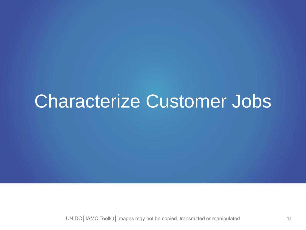# Characterize Customer Jobs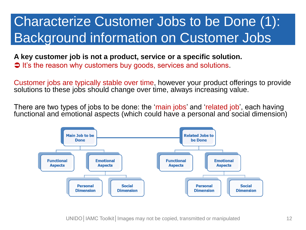# Characterize Customer Jobs to be Done (1): Background information on Customer Jobs

#### **A key customer job is not a product, service or a specific solution.**  It's the reason why customers buy goods, services and solutions.

Customer jobs are typically stable over time, however your product offerings to provide solutions to these jobs should change over time, always increasing value.

There are two types of jobs to be done: the 'main jobs' and 'related job', each having functional and emotional aspects (which could have a personal and social dimension)

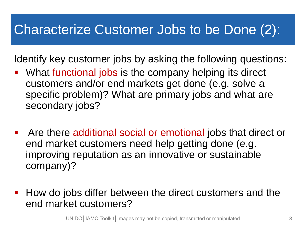# Characterize Customer Jobs to be Done (2):

Identify key customer jobs by asking the following questions:

- What functional jobs is the company helping its direct customers and/or end markets get done (e.g. solve a specific problem)? What are primary jobs and what are secondary jobs?
- Are there additional social or emotional jobs that direct or end market customers need help getting done (e.g. improving reputation as an innovative or sustainable company)?
- **How do jobs differ between the direct customers and the** end market customers?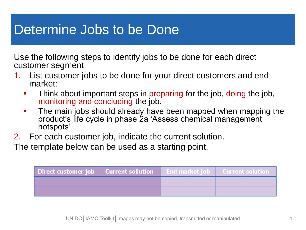# Determine Jobs to be Done

Use the following steps to identify jobs to be done for each direct customer segment

- 1. List customer jobs to be done for your direct customers and end market:
	- **Think about important steps in preparing for the job, doing the job,** monitoring and concluding the job.
	- **The main jobs should already have been mapped when mapping the** product's life cycle in phase 2a 'Assess chemical management hotspots'.
- 2. For each customer job, indicate the current solution.

The template below can be used as a starting point.

| Direct customer job   Current sollution |                   | End market job Current solution |
|-----------------------------------------|-------------------|---------------------------------|
| <b>The Company of the Company</b>       | <b>CONTRACTOR</b> | <b>Contractor</b>               |
|                                         |                   |                                 |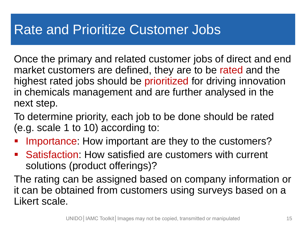# Rate and Prioritize Customer Jobs

Once the primary and related customer jobs of direct and end market customers are defined, they are to be rated and the highest rated jobs should be prioritized for driving innovation in chemicals management and are further analysed in the next step.

To determine priority, each job to be done should be rated (e.g. scale 1 to 10) according to:

- Importance: How important are they to the customers?
- Satisfaction: How satisfied are customers with current solutions (product offerings)?

The rating can be assigned based on company information or it can be obtained from customers using surveys based on a Likert scale.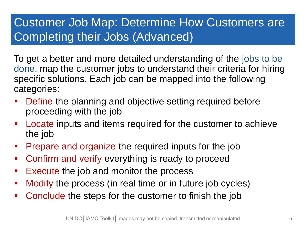### Customer Job Map: Determine How Customers are Completing their Jobs (Advanced)

To get a better and more detailed understanding of the jobs to be done, map the customer jobs to understand their criteria for hiring specific solutions. Each job can be mapped into the following categories:

- Define the planning and objective setting required before proceeding with the job
- **Locate inputs and items required for the customer to achieve** the job
- **Prepare and organize the required inputs for the job**
- **Confirm and verify everything is ready to proceed**
- **Execute the job and monitor the process**
- Modify the process (in real time or in future job cycles)
- Conclude the steps for the customer to finish the job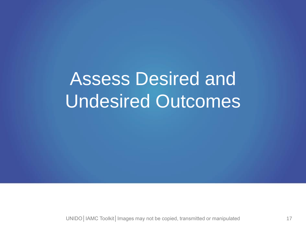# Assess Desired and Undesired Outcomes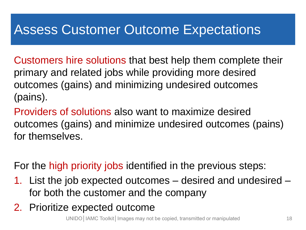# Assess Customer Outcome Expectations

Customers hire solutions that best help them complete their primary and related jobs while providing more desired outcomes (gains) and minimizing undesired outcomes (pains).

Providers of solutions also want to maximize desired outcomes (gains) and minimize undesired outcomes (pains) for themselves.

For the high priority jobs identified in the previous steps:

- 1. List the job expected outcomes desired and undesired for both the customer and the company
- 2. Prioritize expected outcome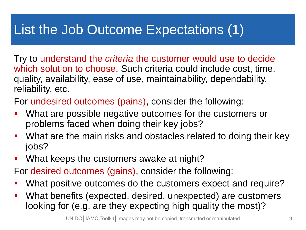# List the Job Outcome Expectations (1)

Try to understand the *criteria* the customer would use to decide which solution to choose. Such criteria could include cost, time, quality, availability, ease of use, maintainability, dependability, reliability, etc.

For undesired outcomes (pains), consider the following:

- What are possible negative outcomes for the customers or problems faced when doing their key jobs?
- **What are the main risks and obstacles related to doing their key** jobs?
- **What keeps the customers awake at night?**

For desired outcomes (gains), consider the following:

- What positive outcomes do the customers expect and require?
- What benefits (expected, desired, unexpected) are customers looking for (e.g. are they expecting high quality the most)?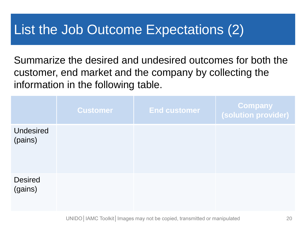# List the Job Outcome Expectations (2)

Summarize the desired and undesired outcomes for both the customer, end market and the company by collecting the information in the following table.

|                             | <b>Customer</b> | <b>End customer</b> | Company<br>(solution provider) |
|-----------------------------|-----------------|---------------------|--------------------------------|
| <b>Undesired</b><br>(pains) |                 |                     |                                |
| <b>Desired</b><br>(gains)   |                 |                     |                                |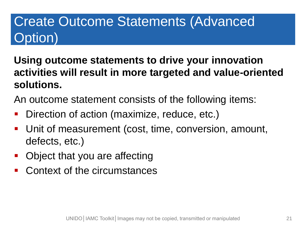# Create Outcome Statements (Advanced Option)

- **Using outcome statements to drive your innovation activities will result in more targeted and value-oriented solutions.**
- An outcome statement consists of the following items:
- Direction of action (maximize, reduce, etc.)
- Unit of measurement (cost, time, conversion, amount, defects, etc.)
- **Object that you are affecting**
- Context of the circumstances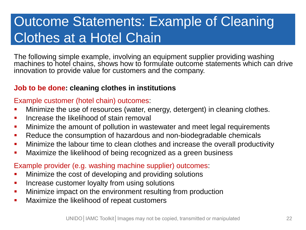# Outcome Statements: Example of Cleaning Clothes at a Hotel Chain

The following simple example, involving an equipment supplier providing washing machines to hotel chains, shows how to formulate outcome statements which can drive innovation to provide value for customers and the company.

#### **Job to be done: cleaning clothes in institutions**

#### Example customer (hotel chain) outcomes:

- Minimize the use of resources (water, energy, detergent) in cleaning clothes.
- **If** Increase the likelihood of stain removal
- **Minimize the amount of pollution in wastewater and meet legal requirements**
- Reduce the consumption of hazardous and non-biodegradable chemicals
- **Minimize the labour time to clean clothes and increase the overall productivity**
- **Maximize the likelihood of being recognized as a green business**

Example provider (e.g. washing machine supplier) outcomes:

- **Minimize the cost of developing and providing solutions**
- **If** Increase customer loyalty from using solutions
- **Minimize impact on the environment resulting from production**
- **Maximize the likelihood of repeat customers**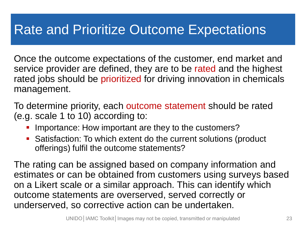# Rate and Prioritize Outcome Expectations

Once the outcome expectations of the customer, end market and service provider are defined, they are to be rated and the highest rated jobs should be prioritized for driving innovation in chemicals management.

To determine priority, each outcome statement should be rated (e.g. scale 1 to 10) according to:

- Importance: How important are they to the customers?
- Satisfaction: To which extent do the current solutions (product offerings) fulfil the outcome statements?

The rating can be assigned based on company information and estimates or can be obtained from customers using surveys based on a Likert scale or a similar approach. This can identify which outcome statements are overserved, served correctly or underserved, so corrective action can be undertaken.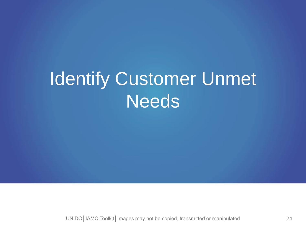# Identify Customer Unmet **Needs**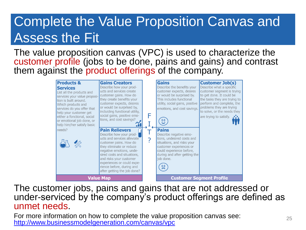# Complete the Value Proposition Canvas and Assess the Fit

#### The value proposition canvas (VPC) is used to characterize the customer profile (jobs to be done, pains and gains) and contrast them against the product offerings of the company.



The customer jobs, pains and gains that are not addressed or under-serviced by the company's product offerings are defined as unmet needs.

For more information on how to complete the value proposition canvas see: For more information on now to complete the value proposition canvas see.<br><http://www.businessmodelgeneration.com/canvas/vpc>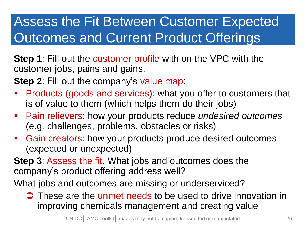# Assess the Fit Between Customer Expected Outcomes and Current Product Offerings

**Step 1**: Fill out the customer profile with on the VPC with the customer jobs, pains and gains.

**Step 2**: Fill out the company's value map:

- Products (goods and services): what you offer to customers that is of value to them (which helps them do their jobs)
- Pain relievers: how your products reduce *undesired outcomes* (e.g. challenges, problems, obstacles or risks)
- Gain creators: how your products produce desired outcomes (expected or unexpected)

**Step 3**: Assess the fit. What jobs and outcomes does the company's product offering address well?

What jobs and outcomes are missing or underserviced?

 $\supset$  These are the unmet needs to be used to drive innovation in improving chemicals management and creating value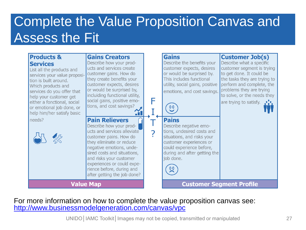# Complete the Value Proposition Canvas and Assess the Fit

| <b>Products &amp;</b><br><b>Services</b><br>List all the products and<br>services your value proposi-<br>tion is built around.<br>Which products and<br>services do you offer that<br>help your customer get<br>either a fonctional, social<br>or emotional job done, or<br>help him/her satisfy basic | <b>Gains Creators</b><br>Describe how your prod-<br>ucts and services create<br>customer gains. How do<br>they create benefits your<br>customer expects, desires<br>or would be surprised by,<br>incluiding functional utility,<br>social gains, positive emo-<br>tions, and cost savings?                            | F | <b>Gains</b><br>Describe the benefits your<br>customer expects, desires<br>or would be surprised by.<br>This includes functional<br>utility, social gains, positive<br>emotions, and cost savings.<br>0 <sub>0</sub> | <b>Customer Job(s)</b><br>Describe what a specific<br>customer segment is trying<br>to get done. It could be<br>the tasks they are trying to<br>perform and complete, the<br>problems they are trying<br>to solve, or the needs they<br>are trying to satisfy. |
|--------------------------------------------------------------------------------------------------------------------------------------------------------------------------------------------------------------------------------------------------------------------------------------------------------|-----------------------------------------------------------------------------------------------------------------------------------------------------------------------------------------------------------------------------------------------------------------------------------------------------------------------|---|----------------------------------------------------------------------------------------------------------------------------------------------------------------------------------------------------------------------|----------------------------------------------------------------------------------------------------------------------------------------------------------------------------------------------------------------------------------------------------------------|
| needs?                                                                                                                                                                                                                                                                                                 | <b>Pain Relievers</b><br>Describe how your prod-<br>ucts and services alleviate<br>customer pains. How do<br>they eliminate or reduce<br>negative emotions, unde-<br>sired costs and situations,<br>and risks your customer<br>experiences or could expe-<br>rience before, during and<br>after getting the job done? |   | <b>Pains</b><br>Describe negative emo-<br>tions, undesired costs and<br>situations, and risks your<br>customer experiences or<br>could experience before,<br>during and after getting the<br>job done.<br>00         |                                                                                                                                                                                                                                                                |
| <b>Value Map</b>                                                                                                                                                                                                                                                                                       |                                                                                                                                                                                                                                                                                                                       |   |                                                                                                                                                                                                                      | <b>Customer Segment Profile</b>                                                                                                                                                                                                                                |

For more information on how to complete the value proposition canvas see: <http://www.businessmodelgeneration.com/canvas/vpc>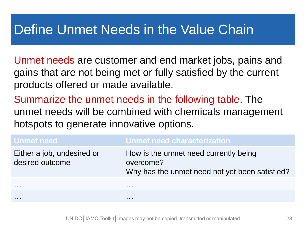# Define Unmet Needs in the Value Chain

Unmet needs are customer and end market jobs, pains and gains that are not being met or fully satisfied by the current products offered or made available.

Summarize the unmet needs in the following table. The unmet needs will be combined with chemicals management hotspots to generate innovative options.

| <b>Unmet need</b>                             | Unmet need characterization                                                                          |
|-----------------------------------------------|------------------------------------------------------------------------------------------------------|
| Either a job, undesired or<br>desired outcome | How is the unmet need currently being<br>overcome?<br>Why has the unmet need not yet been satisfied? |
| .                                             | .                                                                                                    |
|                                               | .                                                                                                    |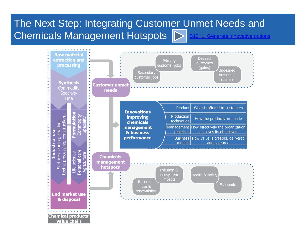### The Next Step: Integrating Customer Unmet Needs and Chemicals Management Hotspots  $\sum$  [B13\\_1\\_Generate innovative options](http://iamc-toolkit.org/company-guide/step-by-step-approach/generate-options)

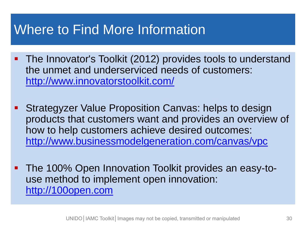# Where to Find More Information

- **The Innovator's Toolkit (2012) provides tools to understand** the unmet and underserviced needs of customers: <http://www.innovatorstoolkit.com/>
- **Strategyzer Value Proposition Canvas: helps to design** products that customers want and provides an overview of how to help customers achieve desired outcomes: <http://www.businessmodelgeneration.com/canvas/vpc>
- **The 100% Open Innovation Toolkit provides an easy-to**use method to implement open innovation: [http://100open.com](http://100open.com/)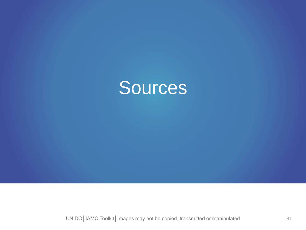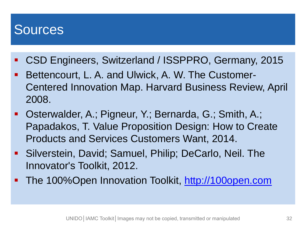### **Sources**

- CSD Engineers, Switzerland / ISSPPRO, Germany, 2015
- Bellencourt, L. A. and Ulwick, A. W. The Gustomer-<br>Centered Innovation Man Harvard Rusiness Review Arc purus lectus malesuada libero, sit amet magna **Bettencourt, L. A. and Ulwick, A. W. The Customer-**Centered Innovation Map. Harvard Business Review, April 2008.
- **Disterwalder, A.; Pigneur, Y.; Bernarda, G.; Smith, A.;** Papadakos, T. Value Proposition Design: How to Create Products and Services Customers Want, 2014.
- Silverstein, David; Samuel, Philip; DeCarlo, Neil. The Innovator's Toolkit, 2012.
- The 100%Open Innovation Toolkit, [http://100open.com](http://100open.com/)